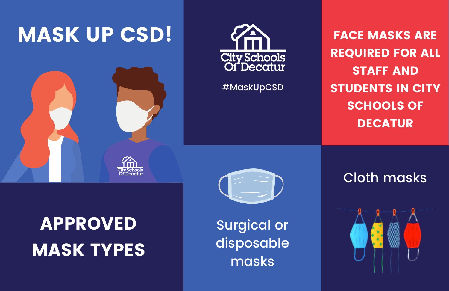

# APPROVED MASK TYPES



#MaskUpCSD

FACE MASKS ARE REQUIRED FOR ALL STAFF AND STUDENTS IN CITY SCHOOLS OF DECATUR

Surgical or disposable masks

## Cloth masks

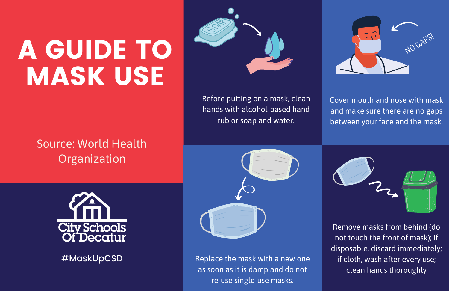# A GUIDE TO MASK USE

Source: World Health **Organization** 



Before putting on a mask, clean hands with alcohol-based hand rub or soap and water.



Cover mouth and nose with mask and make sure there are no gaps between your face and the mask.



#MaskUpCSD



Replace the mask with a new one as soon as it is damp and do not re-use single-use masks.



Remove masks from behind (do not touch the front of mask); if disposable, discard immediately; if cloth, wash after every use; clean hands thoroughly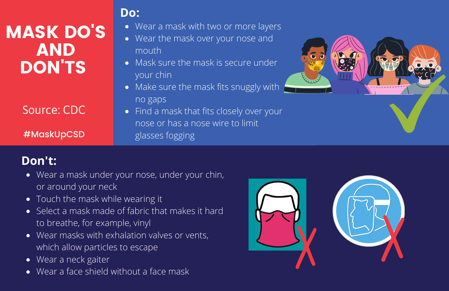## MASK DO'S AND DON'TS

### Source: CDC

#MaskUpCSD

### **Do:**

- Wear a mask with two or more layers
- Wear the mask over your nose and mouth
- Mask sure the mask is secure under your chin
- Make sure the mask fits snuggly with no gaps
- Find a mask that fits closely over your nose or has a nose wire to limit glasses fogging



## **Don't:**

- Wear a mask under your nose, under your chin, or around your neck
- Touch the mask while wearing it
- Select a mask made of fabric that makes it hard to breathe, for example, vinyl
- Wear masks with exhalation valves or vents, which allow particles to escape
- Wear a neck gaiter  $\bullet$
- Wear a face shield without a face mask